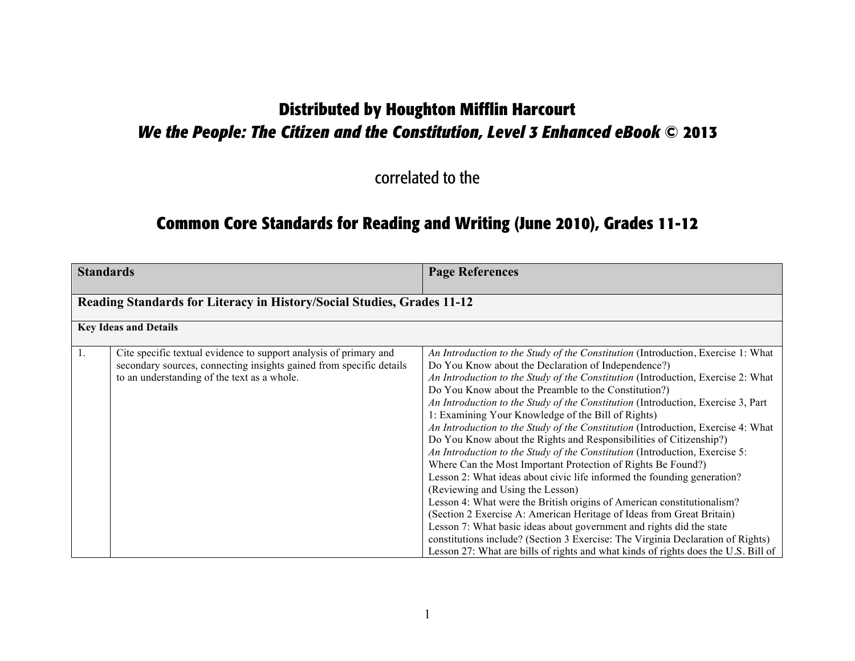# **Distributed by Houghton Mifflin Harcourt** *We the People: The Citizen and the Constitution, Level 3 Enhanced eBook* **© 2013**

correlated to the

## **Common Core Standards for Reading and Writing (June 2010), Grades 11-12**

| <b>Standards</b> |                                                                                                                                                                                         | <b>Page References</b>                                                                                                                                                                                                                                                                                                                                                                                                                                                                                                                                                                                                                                                                                                                                                                                                                                                                                                                                                                                                                                                                                                                                                                                                                                    |
|------------------|-----------------------------------------------------------------------------------------------------------------------------------------------------------------------------------------|-----------------------------------------------------------------------------------------------------------------------------------------------------------------------------------------------------------------------------------------------------------------------------------------------------------------------------------------------------------------------------------------------------------------------------------------------------------------------------------------------------------------------------------------------------------------------------------------------------------------------------------------------------------------------------------------------------------------------------------------------------------------------------------------------------------------------------------------------------------------------------------------------------------------------------------------------------------------------------------------------------------------------------------------------------------------------------------------------------------------------------------------------------------------------------------------------------------------------------------------------------------|
|                  | Reading Standards for Literacy in History/Social Studies, Grades 11-12                                                                                                                  |                                                                                                                                                                                                                                                                                                                                                                                                                                                                                                                                                                                                                                                                                                                                                                                                                                                                                                                                                                                                                                                                                                                                                                                                                                                           |
|                  | <b>Key Ideas and Details</b>                                                                                                                                                            |                                                                                                                                                                                                                                                                                                                                                                                                                                                                                                                                                                                                                                                                                                                                                                                                                                                                                                                                                                                                                                                                                                                                                                                                                                                           |
| 1.               | Cite specific textual evidence to support analysis of primary and<br>secondary sources, connecting insights gained from specific details<br>to an understanding of the text as a whole. | An Introduction to the Study of the Constitution (Introduction, Exercise 1: What<br>Do You Know about the Declaration of Independence?)<br>An Introduction to the Study of the Constitution (Introduction, Exercise 2: What<br>Do You Know about the Preamble to the Constitution?)<br>An Introduction to the Study of the Constitution (Introduction, Exercise 3, Part<br>1: Examining Your Knowledge of the Bill of Rights)<br>An Introduction to the Study of the Constitution (Introduction, Exercise 4: What<br>Do You Know about the Rights and Responsibilities of Citizenship?)<br>An Introduction to the Study of the Constitution (Introduction, Exercise 5:<br>Where Can the Most Important Protection of Rights Be Found?)<br>Lesson 2: What ideas about civic life informed the founding generation?<br>(Reviewing and Using the Lesson)<br>Lesson 4: What were the British origins of American constitutionalism?<br>(Section 2 Exercise A: American Heritage of Ideas from Great Britain)<br>Lesson 7: What basic ideas about government and rights did the state<br>constitutions include? (Section 3 Exercise: The Virginia Declaration of Rights)<br>Lesson 27: What are bills of rights and what kinds of rights does the U.S. Bill of |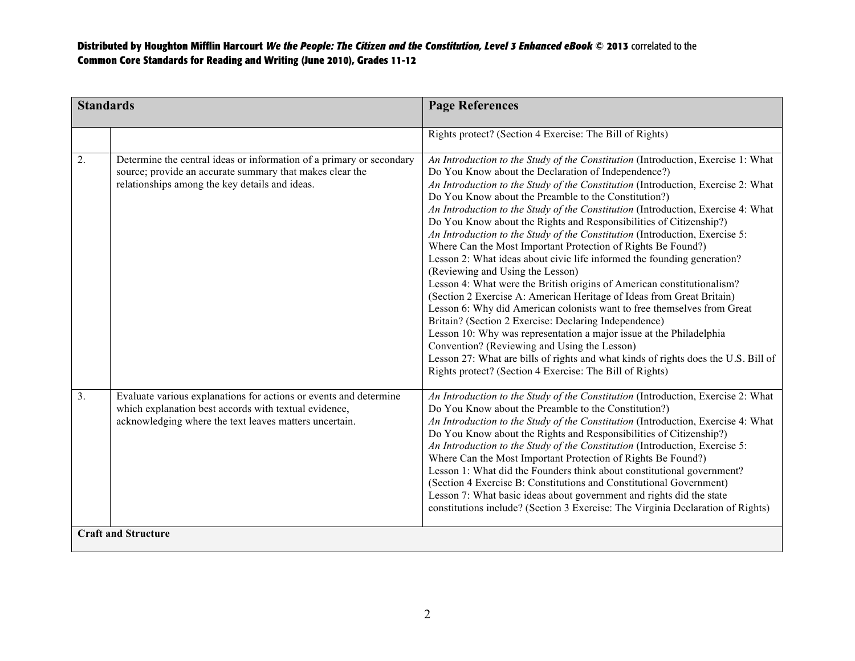| <b>Standards</b> |                                                                                                                                                                                      | <b>Page References</b>                                                                                                                                                                                                                                                                                                                                                                                                                                                                                                                                                                                                                                                                                                                                                                                                                                                                                                                                                                                                                                                                                                                                                                                                                                                      |
|------------------|--------------------------------------------------------------------------------------------------------------------------------------------------------------------------------------|-----------------------------------------------------------------------------------------------------------------------------------------------------------------------------------------------------------------------------------------------------------------------------------------------------------------------------------------------------------------------------------------------------------------------------------------------------------------------------------------------------------------------------------------------------------------------------------------------------------------------------------------------------------------------------------------------------------------------------------------------------------------------------------------------------------------------------------------------------------------------------------------------------------------------------------------------------------------------------------------------------------------------------------------------------------------------------------------------------------------------------------------------------------------------------------------------------------------------------------------------------------------------------|
|                  |                                                                                                                                                                                      | Rights protect? (Section 4 Exercise: The Bill of Rights)                                                                                                                                                                                                                                                                                                                                                                                                                                                                                                                                                                                                                                                                                                                                                                                                                                                                                                                                                                                                                                                                                                                                                                                                                    |
| 2.               | Determine the central ideas or information of a primary or secondary<br>source; provide an accurate summary that makes clear the<br>relationships among the key details and ideas.   | An Introduction to the Study of the Constitution (Introduction, Exercise 1: What<br>Do You Know about the Declaration of Independence?)<br>An Introduction to the Study of the Constitution (Introduction, Exercise 2: What<br>Do You Know about the Preamble to the Constitution?)<br>An Introduction to the Study of the Constitution (Introduction, Exercise 4: What<br>Do You Know about the Rights and Responsibilities of Citizenship?)<br>An Introduction to the Study of the Constitution (Introduction, Exercise 5:<br>Where Can the Most Important Protection of Rights Be Found?)<br>Lesson 2: What ideas about civic life informed the founding generation?<br>(Reviewing and Using the Lesson)<br>Lesson 4: What were the British origins of American constitutionalism?<br>(Section 2 Exercise A: American Heritage of Ideas from Great Britain)<br>Lesson 6: Why did American colonists want to free themselves from Great<br>Britain? (Section 2 Exercise: Declaring Independence)<br>Lesson 10: Why was representation a major issue at the Philadelphia<br>Convention? (Reviewing and Using the Lesson)<br>Lesson 27: What are bills of rights and what kinds of rights does the U.S. Bill of<br>Rights protect? (Section 4 Exercise: The Bill of Rights) |
| 3.               | Evaluate various explanations for actions or events and determine<br>which explanation best accords with textual evidence,<br>acknowledging where the text leaves matters uncertain. | An Introduction to the Study of the Constitution (Introduction, Exercise 2: What<br>Do You Know about the Preamble to the Constitution?)<br>An Introduction to the Study of the Constitution (Introduction, Exercise 4: What<br>Do You Know about the Rights and Responsibilities of Citizenship?)<br>An Introduction to the Study of the Constitution (Introduction, Exercise 5:<br>Where Can the Most Important Protection of Rights Be Found?)<br>Lesson 1: What did the Founders think about constitutional government?<br>(Section 4 Exercise B: Constitutions and Constitutional Government)<br>Lesson 7: What basic ideas about government and rights did the state<br>constitutions include? (Section 3 Exercise: The Virginia Declaration of Rights)                                                                                                                                                                                                                                                                                                                                                                                                                                                                                                               |
|                  | <b>Craft and Structure</b>                                                                                                                                                           |                                                                                                                                                                                                                                                                                                                                                                                                                                                                                                                                                                                                                                                                                                                                                                                                                                                                                                                                                                                                                                                                                                                                                                                                                                                                             |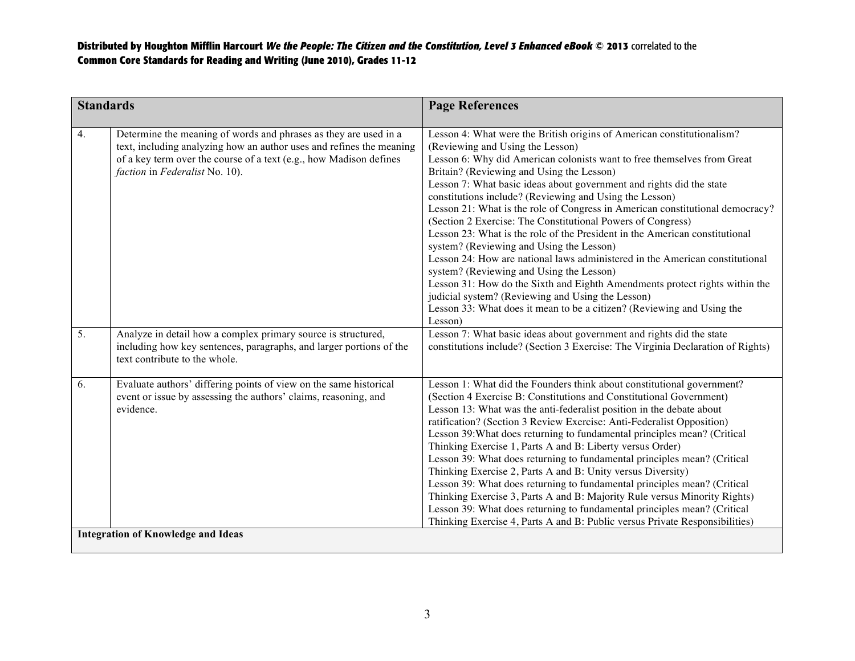| <b>Standards</b>                          |                                                                                                                                                                                                                                                  | <b>Page References</b>                                                                                                                                                                                                                                                                                                                                                                                                                                                                                                                                                                                                                                                                                                                                                                                                                                                                                                                                                                                |
|-------------------------------------------|--------------------------------------------------------------------------------------------------------------------------------------------------------------------------------------------------------------------------------------------------|-------------------------------------------------------------------------------------------------------------------------------------------------------------------------------------------------------------------------------------------------------------------------------------------------------------------------------------------------------------------------------------------------------------------------------------------------------------------------------------------------------------------------------------------------------------------------------------------------------------------------------------------------------------------------------------------------------------------------------------------------------------------------------------------------------------------------------------------------------------------------------------------------------------------------------------------------------------------------------------------------------|
| 4.                                        | Determine the meaning of words and phrases as they are used in a<br>text, including analyzing how an author uses and refines the meaning<br>of a key term over the course of a text (e.g., how Madison defines<br>faction in Federalist No. 10). | Lesson 4: What were the British origins of American constitutionalism?<br>(Reviewing and Using the Lesson)<br>Lesson 6: Why did American colonists want to free themselves from Great<br>Britain? (Reviewing and Using the Lesson)<br>Lesson 7: What basic ideas about government and rights did the state<br>constitutions include? (Reviewing and Using the Lesson)<br>Lesson 21: What is the role of Congress in American constitutional democracy?<br>(Section 2 Exercise: The Constitutional Powers of Congress)<br>Lesson 23: What is the role of the President in the American constitutional<br>system? (Reviewing and Using the Lesson)<br>Lesson 24: How are national laws administered in the American constitutional<br>system? (Reviewing and Using the Lesson)<br>Lesson 31: How do the Sixth and Eighth Amendments protect rights within the<br>judicial system? (Reviewing and Using the Lesson)<br>Lesson 33: What does it mean to be a citizen? (Reviewing and Using the<br>Lesson) |
| $\overline{5}$ .                          | Analyze in detail how a complex primary source is structured,<br>including how key sentences, paragraphs, and larger portions of the<br>text contribute to the whole.                                                                            | Lesson 7: What basic ideas about government and rights did the state<br>constitutions include? (Section 3 Exercise: The Virginia Declaration of Rights)                                                                                                                                                                                                                                                                                                                                                                                                                                                                                                                                                                                                                                                                                                                                                                                                                                               |
| 6.                                        | Evaluate authors' differing points of view on the same historical<br>event or issue by assessing the authors' claims, reasoning, and<br>evidence.                                                                                                | Lesson 1: What did the Founders think about constitutional government?<br>(Section 4 Exercise B: Constitutions and Constitutional Government)<br>Lesson 13: What was the anti-federalist position in the debate about<br>ratification? (Section 3 Review Exercise: Anti-Federalist Opposition)<br>Lesson 39: What does returning to fundamental principles mean? (Critical<br>Thinking Exercise 1, Parts A and B: Liberty versus Order)<br>Lesson 39: What does returning to fundamental principles mean? (Critical<br>Thinking Exercise 2, Parts A and B: Unity versus Diversity)<br>Lesson 39: What does returning to fundamental principles mean? (Critical<br>Thinking Exercise 3, Parts A and B: Majority Rule versus Minority Rights)<br>Lesson 39: What does returning to fundamental principles mean? (Critical<br>Thinking Exercise 4, Parts A and B: Public versus Private Responsibilities)                                                                                                |
| <b>Integration of Knowledge and Ideas</b> |                                                                                                                                                                                                                                                  |                                                                                                                                                                                                                                                                                                                                                                                                                                                                                                                                                                                                                                                                                                                                                                                                                                                                                                                                                                                                       |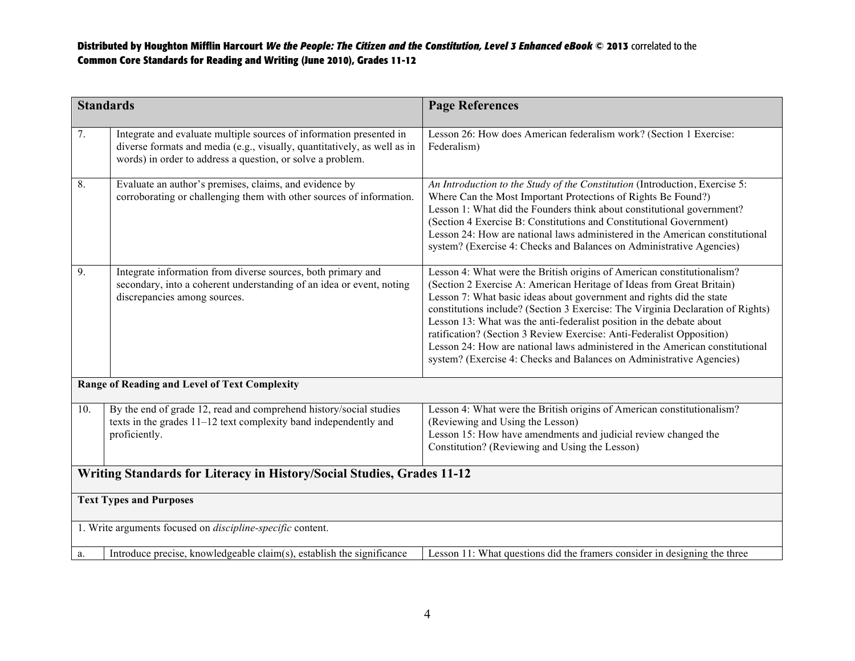| <b>Standards</b>                                                       |                                                                                                                                                                                                               | <b>Page References</b>                                                                                                                                                                                                                                                                                                                                                                                                                                                                                                                                                                                              |
|------------------------------------------------------------------------|---------------------------------------------------------------------------------------------------------------------------------------------------------------------------------------------------------------|---------------------------------------------------------------------------------------------------------------------------------------------------------------------------------------------------------------------------------------------------------------------------------------------------------------------------------------------------------------------------------------------------------------------------------------------------------------------------------------------------------------------------------------------------------------------------------------------------------------------|
| 7.                                                                     | Integrate and evaluate multiple sources of information presented in<br>diverse formats and media (e.g., visually, quantitatively, as well as in<br>words) in order to address a question, or solve a problem. | Lesson 26: How does American federalism work? (Section 1 Exercise:<br>Federalism)                                                                                                                                                                                                                                                                                                                                                                                                                                                                                                                                   |
| 8.                                                                     | Evaluate an author's premises, claims, and evidence by<br>corroborating or challenging them with other sources of information.                                                                                | An Introduction to the Study of the Constitution (Introduction, Exercise 5:<br>Where Can the Most Important Protections of Rights Be Found?)<br>Lesson 1: What did the Founders think about constitutional government?<br>(Section 4 Exercise B: Constitutions and Constitutional Government)<br>Lesson 24: How are national laws administered in the American constitutional<br>system? (Exercise 4: Checks and Balances on Administrative Agencies)                                                                                                                                                               |
| 9.                                                                     | Integrate information from diverse sources, both primary and<br>secondary, into a coherent understanding of an idea or event, noting<br>discrepancies among sources.                                          | Lesson 4: What were the British origins of American constitutionalism?<br>(Section 2 Exercise A: American Heritage of Ideas from Great Britain)<br>Lesson 7: What basic ideas about government and rights did the state<br>constitutions include? (Section 3 Exercise: The Virginia Declaration of Rights)<br>Lesson 13: What was the anti-federalist position in the debate about<br>ratification? (Section 3 Review Exercise: Anti-Federalist Opposition)<br>Lesson 24: How are national laws administered in the American constitutional<br>system? (Exercise 4: Checks and Balances on Administrative Agencies) |
|                                                                        | Range of Reading and Level of Text Complexity                                                                                                                                                                 |                                                                                                                                                                                                                                                                                                                                                                                                                                                                                                                                                                                                                     |
| 10.                                                                    | By the end of grade 12, read and comprehend history/social studies<br>texts in the grades $11-12$ text complexity band independently and<br>proficiently.                                                     | Lesson 4: What were the British origins of American constitutionalism?<br>(Reviewing and Using the Lesson)<br>Lesson 15: How have amendments and judicial review changed the<br>Constitution? (Reviewing and Using the Lesson)                                                                                                                                                                                                                                                                                                                                                                                      |
| Writing Standards for Literacy in History/Social Studies, Grades 11-12 |                                                                                                                                                                                                               |                                                                                                                                                                                                                                                                                                                                                                                                                                                                                                                                                                                                                     |
| <b>Text Types and Purposes</b>                                         |                                                                                                                                                                                                               |                                                                                                                                                                                                                                                                                                                                                                                                                                                                                                                                                                                                                     |
| 1. Write arguments focused on <i>discipline-specific</i> content.      |                                                                                                                                                                                                               |                                                                                                                                                                                                                                                                                                                                                                                                                                                                                                                                                                                                                     |
| a.                                                                     | Introduce precise, knowledgeable claim(s), establish the significance                                                                                                                                         | Lesson 11: What questions did the framers consider in designing the three                                                                                                                                                                                                                                                                                                                                                                                                                                                                                                                                           |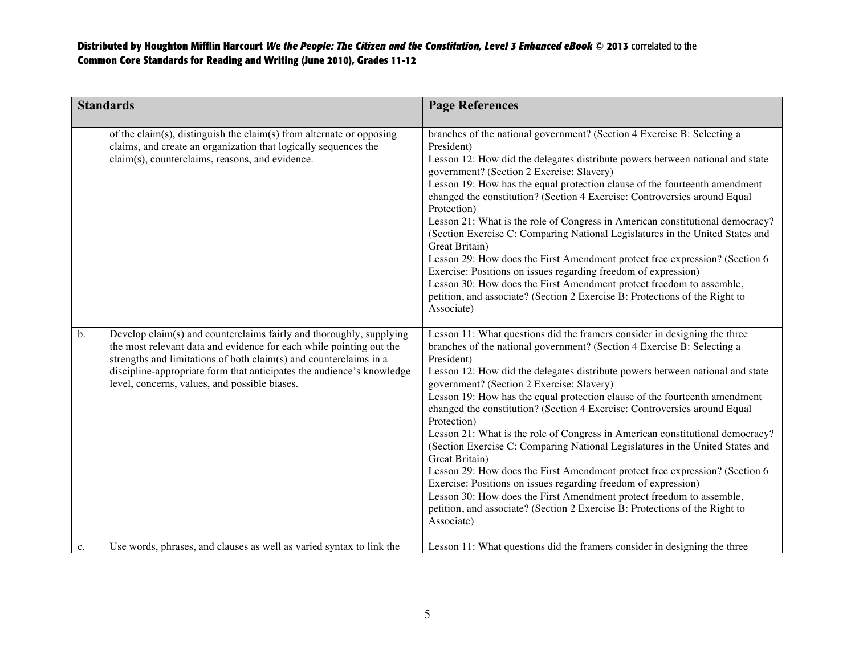| <b>Standards</b> |                                                                                                                                                                                                                                                                                                                                           | <b>Page References</b>                                                                                                                                                                                                                                                                                                                                                                                                                                                                                                                                                                                                                                                                                                                                                                                                                                                                                                                                                               |
|------------------|-------------------------------------------------------------------------------------------------------------------------------------------------------------------------------------------------------------------------------------------------------------------------------------------------------------------------------------------|--------------------------------------------------------------------------------------------------------------------------------------------------------------------------------------------------------------------------------------------------------------------------------------------------------------------------------------------------------------------------------------------------------------------------------------------------------------------------------------------------------------------------------------------------------------------------------------------------------------------------------------------------------------------------------------------------------------------------------------------------------------------------------------------------------------------------------------------------------------------------------------------------------------------------------------------------------------------------------------|
|                  | of the claim(s), distinguish the claim(s) from alternate or opposing<br>claims, and create an organization that logically sequences the<br>claim(s), counterclaims, reasons, and evidence.                                                                                                                                                | branches of the national government? (Section 4 Exercise B: Selecting a<br>President)<br>Lesson 12: How did the delegates distribute powers between national and state<br>government? (Section 2 Exercise: Slavery)<br>Lesson 19: How has the equal protection clause of the fourteenth amendment<br>changed the constitution? (Section 4 Exercise: Controversies around Equal<br>Protection)<br>Lesson 21: What is the role of Congress in American constitutional democracy?<br>(Section Exercise C: Comparing National Legislatures in the United States and<br>Great Britain)<br>Lesson 29: How does the First Amendment protect free expression? (Section 6<br>Exercise: Positions on issues regarding freedom of expression)<br>Lesson 30: How does the First Amendment protect freedom to assemble,<br>petition, and associate? (Section 2 Exercise B: Protections of the Right to<br>Associate)                                                                              |
| $\mathbf b$ .    | Develop claim(s) and counterclaims fairly and thoroughly, supplying<br>the most relevant data and evidence for each while pointing out the<br>strengths and limitations of both claim(s) and counterclaims in a<br>discipline-appropriate form that anticipates the audience's knowledge<br>level, concerns, values, and possible biases. | Lesson 11: What questions did the framers consider in designing the three<br>branches of the national government? (Section 4 Exercise B: Selecting a<br>President)<br>Lesson 12: How did the delegates distribute powers between national and state<br>government? (Section 2 Exercise: Slavery)<br>Lesson 19: How has the equal protection clause of the fourteenth amendment<br>changed the constitution? (Section 4 Exercise: Controversies around Equal<br>Protection)<br>Lesson 21: What is the role of Congress in American constitutional democracy?<br>(Section Exercise C: Comparing National Legislatures in the United States and<br>Great Britain)<br>Lesson 29: How does the First Amendment protect free expression? (Section 6<br>Exercise: Positions on issues regarding freedom of expression)<br>Lesson 30: How does the First Amendment protect freedom to assemble,<br>petition, and associate? (Section 2 Exercise B: Protections of the Right to<br>Associate) |
| c.               | Use words, phrases, and clauses as well as varied syntax to link the                                                                                                                                                                                                                                                                      | Lesson 11: What questions did the framers consider in designing the three                                                                                                                                                                                                                                                                                                                                                                                                                                                                                                                                                                                                                                                                                                                                                                                                                                                                                                            |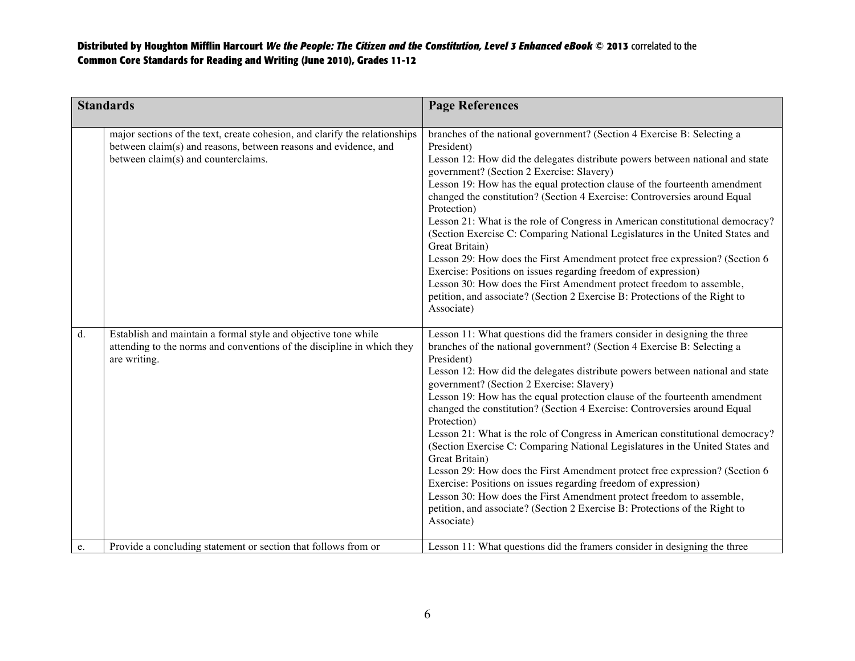| <b>Standards</b> |                                                                                                                                                                                      | <b>Page References</b>                                                                                                                                                                                                                                                                                                                                                                                                                                                                                                                                                                                                                                                                                                                                                                                                                                                                                                                                                               |
|------------------|--------------------------------------------------------------------------------------------------------------------------------------------------------------------------------------|--------------------------------------------------------------------------------------------------------------------------------------------------------------------------------------------------------------------------------------------------------------------------------------------------------------------------------------------------------------------------------------------------------------------------------------------------------------------------------------------------------------------------------------------------------------------------------------------------------------------------------------------------------------------------------------------------------------------------------------------------------------------------------------------------------------------------------------------------------------------------------------------------------------------------------------------------------------------------------------|
|                  | major sections of the text, create cohesion, and clarify the relationships<br>between claim(s) and reasons, between reasons and evidence, and<br>between claim(s) and counterclaims. | branches of the national government? (Section 4 Exercise B: Selecting a<br>President)<br>Lesson 12: How did the delegates distribute powers between national and state<br>government? (Section 2 Exercise: Slavery)<br>Lesson 19: How has the equal protection clause of the fourteenth amendment<br>changed the constitution? (Section 4 Exercise: Controversies around Equal<br>Protection)<br>Lesson 21: What is the role of Congress in American constitutional democracy?<br>(Section Exercise C: Comparing National Legislatures in the United States and<br>Great Britain)<br>Lesson 29: How does the First Amendment protect free expression? (Section 6<br>Exercise: Positions on issues regarding freedom of expression)<br>Lesson 30: How does the First Amendment protect freedom to assemble,<br>petition, and associate? (Section 2 Exercise B: Protections of the Right to<br>Associate)                                                                              |
| $d$ .            | Establish and maintain a formal style and objective tone while<br>attending to the norms and conventions of the discipline in which they<br>are writing.                             | Lesson 11: What questions did the framers consider in designing the three<br>branches of the national government? (Section 4 Exercise B: Selecting a<br>President)<br>Lesson 12: How did the delegates distribute powers between national and state<br>government? (Section 2 Exercise: Slavery)<br>Lesson 19: How has the equal protection clause of the fourteenth amendment<br>changed the constitution? (Section 4 Exercise: Controversies around Equal<br>Protection)<br>Lesson 21: What is the role of Congress in American constitutional democracy?<br>(Section Exercise C: Comparing National Legislatures in the United States and<br>Great Britain)<br>Lesson 29: How does the First Amendment protect free expression? (Section 6<br>Exercise: Positions on issues regarding freedom of expression)<br>Lesson 30: How does the First Amendment protect freedom to assemble,<br>petition, and associate? (Section 2 Exercise B: Protections of the Right to<br>Associate) |
| e.               | Provide a concluding statement or section that follows from or                                                                                                                       | Lesson 11: What questions did the framers consider in designing the three                                                                                                                                                                                                                                                                                                                                                                                                                                                                                                                                                                                                                                                                                                                                                                                                                                                                                                            |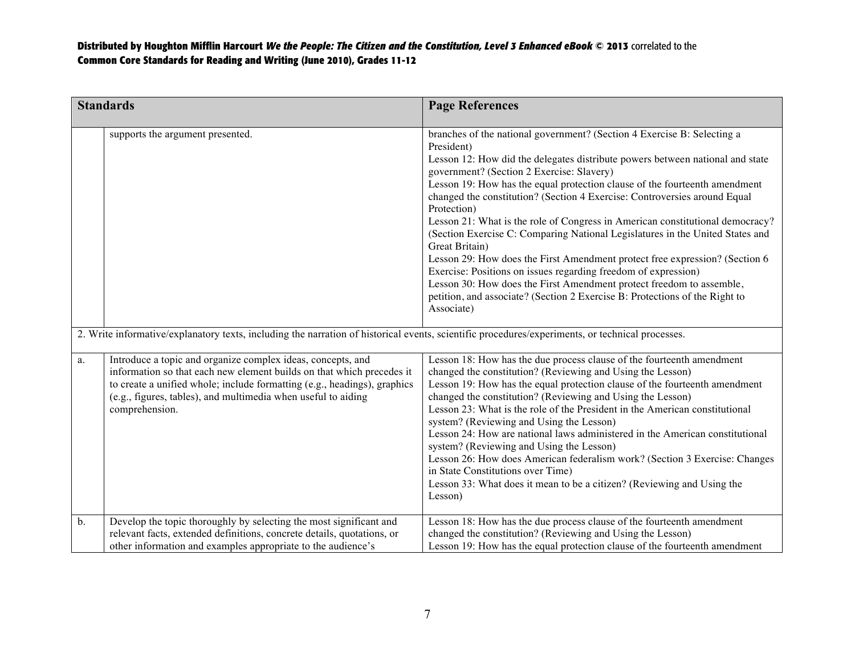|                                                                                                                                                  | <b>Standards</b>                                                                                                                                                                                                                                                                                    | <b>Page References</b>                                                                                                                                                                                                                                                                                                                                                                                                                                                                                                                                                                                                                                                                                                                                                                                                                                                                                  |
|--------------------------------------------------------------------------------------------------------------------------------------------------|-----------------------------------------------------------------------------------------------------------------------------------------------------------------------------------------------------------------------------------------------------------------------------------------------------|---------------------------------------------------------------------------------------------------------------------------------------------------------------------------------------------------------------------------------------------------------------------------------------------------------------------------------------------------------------------------------------------------------------------------------------------------------------------------------------------------------------------------------------------------------------------------------------------------------------------------------------------------------------------------------------------------------------------------------------------------------------------------------------------------------------------------------------------------------------------------------------------------------|
|                                                                                                                                                  | supports the argument presented.                                                                                                                                                                                                                                                                    | branches of the national government? (Section 4 Exercise B: Selecting a<br>President)<br>Lesson 12: How did the delegates distribute powers between national and state<br>government? (Section 2 Exercise: Slavery)<br>Lesson 19: How has the equal protection clause of the fourteenth amendment<br>changed the constitution? (Section 4 Exercise: Controversies around Equal<br>Protection)<br>Lesson 21: What is the role of Congress in American constitutional democracy?<br>(Section Exercise C: Comparing National Legislatures in the United States and<br>Great Britain)<br>Lesson 29: How does the First Amendment protect free expression? (Section 6<br>Exercise: Positions on issues regarding freedom of expression)<br>Lesson 30: How does the First Amendment protect freedom to assemble,<br>petition, and associate? (Section 2 Exercise B: Protections of the Right to<br>Associate) |
| 2. Write informative/explanatory texts, including the narration of historical events, scientific procedures/experiments, or technical processes. |                                                                                                                                                                                                                                                                                                     |                                                                                                                                                                                                                                                                                                                                                                                                                                                                                                                                                                                                                                                                                                                                                                                                                                                                                                         |
| a.                                                                                                                                               | Introduce a topic and organize complex ideas, concepts, and<br>information so that each new element builds on that which precedes it<br>to create a unified whole; include formatting (e.g., headings), graphics<br>(e.g., figures, tables), and multimedia when useful to aiding<br>comprehension. | Lesson 18: How has the due process clause of the fourteenth amendment<br>changed the constitution? (Reviewing and Using the Lesson)<br>Lesson 19: How has the equal protection clause of the fourteenth amendment<br>changed the constitution? (Reviewing and Using the Lesson)<br>Lesson 23: What is the role of the President in the American constitutional<br>system? (Reviewing and Using the Lesson)<br>Lesson 24: How are national laws administered in the American constitutional<br>system? (Reviewing and Using the Lesson)<br>Lesson 26: How does American federalism work? (Section 3 Exercise: Changes<br>in State Constitutions over Time)<br>Lesson 33: What does it mean to be a citizen? (Reviewing and Using the<br>Lesson)                                                                                                                                                          |
| $b$ .                                                                                                                                            | Develop the topic thoroughly by selecting the most significant and<br>relevant facts, extended definitions, concrete details, quotations, or<br>other information and examples appropriate to the audience's                                                                                        | Lesson 18: How has the due process clause of the fourteenth amendment<br>changed the constitution? (Reviewing and Using the Lesson)<br>Lesson 19: How has the equal protection clause of the fourteenth amendment                                                                                                                                                                                                                                                                                                                                                                                                                                                                                                                                                                                                                                                                                       |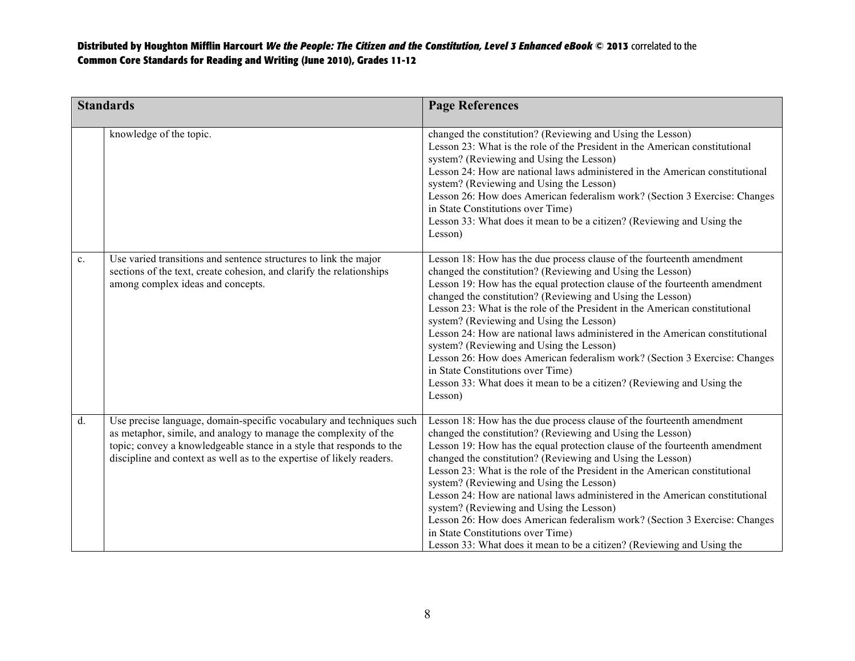| <b>Standards</b> |                                                                                                                                                                                                                                                                                           | <b>Page References</b>                                                                                                                                                                                                                                                                                                                                                                                                                                                                                                                                                                                                                                                                                                                         |
|------------------|-------------------------------------------------------------------------------------------------------------------------------------------------------------------------------------------------------------------------------------------------------------------------------------------|------------------------------------------------------------------------------------------------------------------------------------------------------------------------------------------------------------------------------------------------------------------------------------------------------------------------------------------------------------------------------------------------------------------------------------------------------------------------------------------------------------------------------------------------------------------------------------------------------------------------------------------------------------------------------------------------------------------------------------------------|
|                  | knowledge of the topic.                                                                                                                                                                                                                                                                   | changed the constitution? (Reviewing and Using the Lesson)<br>Lesson 23: What is the role of the President in the American constitutional<br>system? (Reviewing and Using the Lesson)<br>Lesson 24: How are national laws administered in the American constitutional<br>system? (Reviewing and Using the Lesson)<br>Lesson 26: How does American federalism work? (Section 3 Exercise: Changes<br>in State Constitutions over Time)<br>Lesson 33: What does it mean to be a citizen? (Reviewing and Using the<br>Lesson)                                                                                                                                                                                                                      |
| $\mathbf{c}$ .   | Use varied transitions and sentence structures to link the major<br>sections of the text, create cohesion, and clarify the relationships<br>among complex ideas and concepts.                                                                                                             | Lesson 18: How has the due process clause of the fourteenth amendment<br>changed the constitution? (Reviewing and Using the Lesson)<br>Lesson 19: How has the equal protection clause of the fourteenth amendment<br>changed the constitution? (Reviewing and Using the Lesson)<br>Lesson 23: What is the role of the President in the American constitutional<br>system? (Reviewing and Using the Lesson)<br>Lesson 24: How are national laws administered in the American constitutional<br>system? (Reviewing and Using the Lesson)<br>Lesson 26: How does American federalism work? (Section 3 Exercise: Changes<br>in State Constitutions over Time)<br>Lesson 33: What does it mean to be a citizen? (Reviewing and Using the<br>Lesson) |
| $d$ .            | Use precise language, domain-specific vocabulary and techniques such<br>as metaphor, simile, and analogy to manage the complexity of the<br>topic; convey a knowledgeable stance in a style that responds to the<br>discipline and context as well as to the expertise of likely readers. | Lesson 18: How has the due process clause of the fourteenth amendment<br>changed the constitution? (Reviewing and Using the Lesson)<br>Lesson 19: How has the equal protection clause of the fourteenth amendment<br>changed the constitution? (Reviewing and Using the Lesson)<br>Lesson 23: What is the role of the President in the American constitutional<br>system? (Reviewing and Using the Lesson)<br>Lesson 24: How are national laws administered in the American constitutional<br>system? (Reviewing and Using the Lesson)<br>Lesson 26: How does American federalism work? (Section 3 Exercise: Changes<br>in State Constitutions over Time)<br>Lesson 33: What does it mean to be a citizen? (Reviewing and Using the            |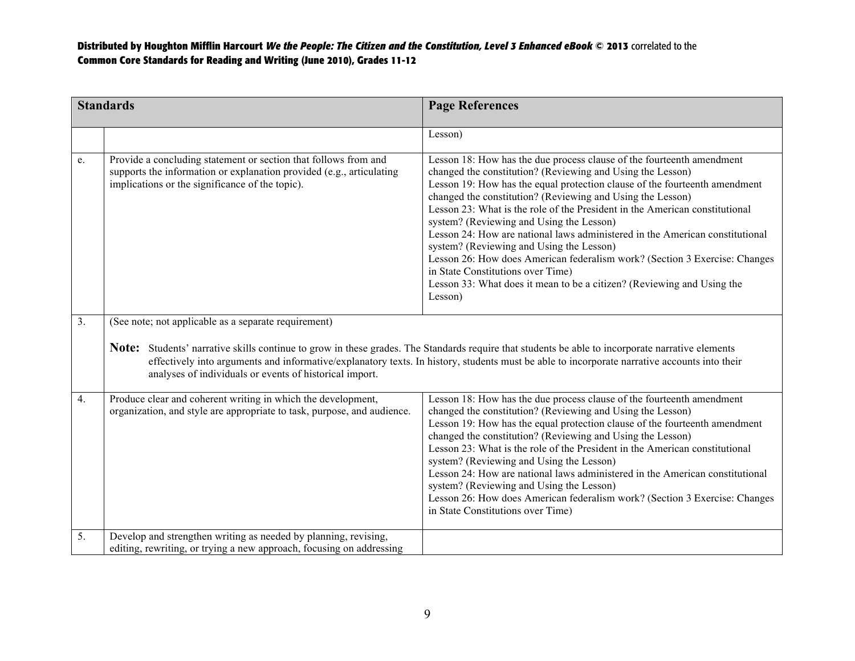| <b>Standards</b> |                                                                                                                                                                                            | <b>Page References</b>                                                                                                                                                                                                                                                                                                                                                                                                                                                                                                                                                                                                                                                                                                                         |
|------------------|--------------------------------------------------------------------------------------------------------------------------------------------------------------------------------------------|------------------------------------------------------------------------------------------------------------------------------------------------------------------------------------------------------------------------------------------------------------------------------------------------------------------------------------------------------------------------------------------------------------------------------------------------------------------------------------------------------------------------------------------------------------------------------------------------------------------------------------------------------------------------------------------------------------------------------------------------|
|                  |                                                                                                                                                                                            | Lesson)                                                                                                                                                                                                                                                                                                                                                                                                                                                                                                                                                                                                                                                                                                                                        |
| e.               | Provide a concluding statement or section that follows from and<br>supports the information or explanation provided (e.g., articulating<br>implications or the significance of the topic). | Lesson 18: How has the due process clause of the fourteenth amendment<br>changed the constitution? (Reviewing and Using the Lesson)<br>Lesson 19: How has the equal protection clause of the fourteenth amendment<br>changed the constitution? (Reviewing and Using the Lesson)<br>Lesson 23: What is the role of the President in the American constitutional<br>system? (Reviewing and Using the Lesson)<br>Lesson 24: How are national laws administered in the American constitutional<br>system? (Reviewing and Using the Lesson)<br>Lesson 26: How does American federalism work? (Section 3 Exercise: Changes<br>in State Constitutions over Time)<br>Lesson 33: What does it mean to be a citizen? (Reviewing and Using the<br>Lesson) |
| $\overline{3}$ . | (See note; not applicable as a separate requirement)<br>analyses of individuals or events of historical import.                                                                            | <b>Note:</b> Students' narrative skills continue to grow in these grades. The Standards require that students be able to incorporate narrative elements<br>effectively into arguments and informative/explanatory texts. In history, students must be able to incorporate narrative accounts into their                                                                                                                                                                                                                                                                                                                                                                                                                                        |
| 4.               | Produce clear and coherent writing in which the development,<br>organization, and style are appropriate to task, purpose, and audience.                                                    | Lesson 18: How has the due process clause of the fourteenth amendment<br>changed the constitution? (Reviewing and Using the Lesson)<br>Lesson 19: How has the equal protection clause of the fourteenth amendment<br>changed the constitution? (Reviewing and Using the Lesson)<br>Lesson 23: What is the role of the President in the American constitutional<br>system? (Reviewing and Using the Lesson)<br>Lesson 24: How are national laws administered in the American constitutional<br>system? (Reviewing and Using the Lesson)<br>Lesson 26: How does American federalism work? (Section 3 Exercise: Changes<br>in State Constitutions over Time)                                                                                      |
| 5.               | Develop and strengthen writing as needed by planning, revising,<br>editing, rewriting, or trying a new approach, focusing on addressing                                                    |                                                                                                                                                                                                                                                                                                                                                                                                                                                                                                                                                                                                                                                                                                                                                |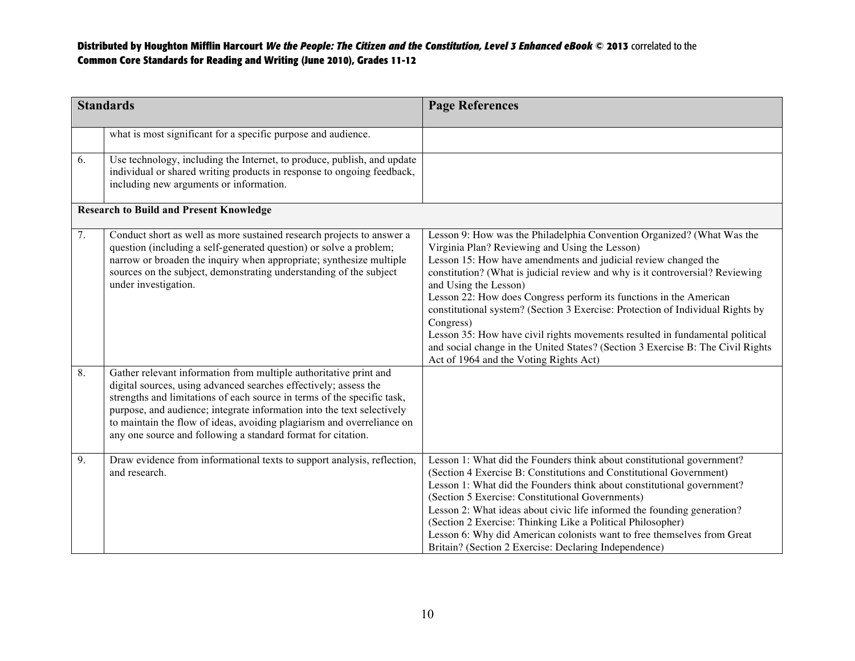|    | <b>Standards</b>                                                                                                                                                                                                                                                                                                                                                                                                                     | <b>Page References</b>                                                                                                                                                                                                                                                                                                                                                                                                                                                                                                                                                                                                                                                                 |
|----|--------------------------------------------------------------------------------------------------------------------------------------------------------------------------------------------------------------------------------------------------------------------------------------------------------------------------------------------------------------------------------------------------------------------------------------|----------------------------------------------------------------------------------------------------------------------------------------------------------------------------------------------------------------------------------------------------------------------------------------------------------------------------------------------------------------------------------------------------------------------------------------------------------------------------------------------------------------------------------------------------------------------------------------------------------------------------------------------------------------------------------------|
|    | what is most significant for a specific purpose and audience.                                                                                                                                                                                                                                                                                                                                                                        |                                                                                                                                                                                                                                                                                                                                                                                                                                                                                                                                                                                                                                                                                        |
| 6. | Use technology, including the Internet, to produce, publish, and update<br>individual or shared writing products in response to ongoing feedback,<br>including new arguments or information.                                                                                                                                                                                                                                         |                                                                                                                                                                                                                                                                                                                                                                                                                                                                                                                                                                                                                                                                                        |
|    | <b>Research to Build and Present Knowledge</b>                                                                                                                                                                                                                                                                                                                                                                                       |                                                                                                                                                                                                                                                                                                                                                                                                                                                                                                                                                                                                                                                                                        |
| 7. | Conduct short as well as more sustained research projects to answer a<br>question (including a self-generated question) or solve a problem;<br>narrow or broaden the inquiry when appropriate; synthesize multiple<br>sources on the subject, demonstrating understanding of the subject<br>under investigation.                                                                                                                     | Lesson 9: How was the Philadelphia Convention Organized? (What Was the<br>Virginia Plan? Reviewing and Using the Lesson)<br>Lesson 15: How have amendments and judicial review changed the<br>constitution? (What is judicial review and why is it controversial? Reviewing<br>and Using the Lesson)<br>Lesson 22: How does Congress perform its functions in the American<br>constitutional system? (Section 3 Exercise: Protection of Individual Rights by<br>Congress)<br>Lesson 35: How have civil rights movements resulted in fundamental political<br>and social change in the United States? (Section 3 Exercise B: The Civil Rights<br>Act of 1964 and the Voting Rights Act) |
| 8. | Gather relevant information from multiple authoritative print and<br>digital sources, using advanced searches effectively; assess the<br>strengths and limitations of each source in terms of the specific task,<br>purpose, and audience; integrate information into the text selectively<br>to maintain the flow of ideas, avoiding plagiarism and overreliance on<br>any one source and following a standard format for citation. |                                                                                                                                                                                                                                                                                                                                                                                                                                                                                                                                                                                                                                                                                        |
| 9. | Draw evidence from informational texts to support analysis, reflection,<br>and research.                                                                                                                                                                                                                                                                                                                                             | Lesson 1: What did the Founders think about constitutional government?<br>(Section 4 Exercise B: Constitutions and Constitutional Government)<br>Lesson 1: What did the Founders think about constitutional government?<br>(Section 5 Exercise: Constitutional Governments)<br>Lesson 2: What ideas about civic life informed the founding generation?<br>(Section 2 Exercise: Thinking Like a Political Philosopher)<br>Lesson 6: Why did American colonists want to free themselves from Great<br>Britain? (Section 2 Exercise: Declaring Independence)                                                                                                                              |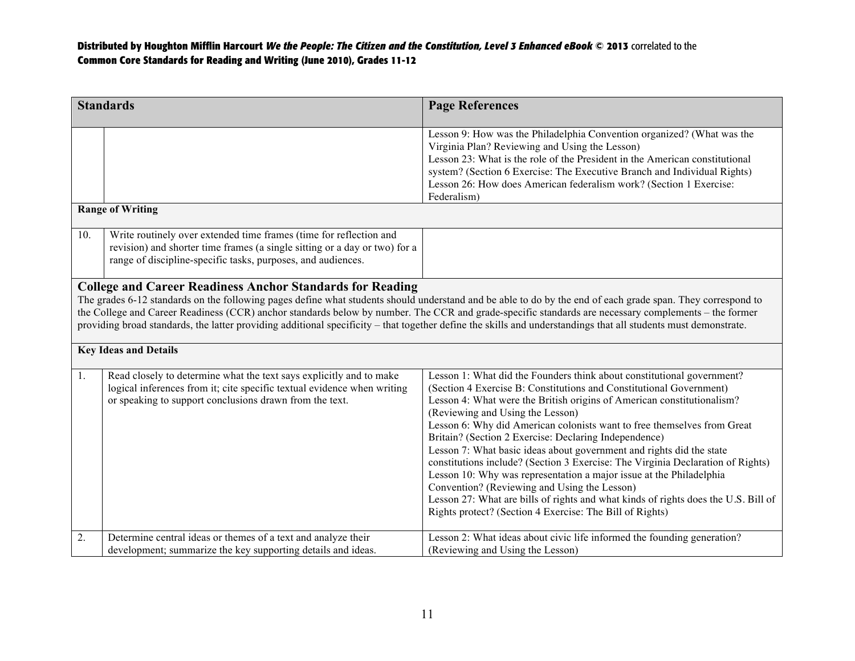|     | <b>Standards</b>                                                                                                                                                                                                                                                                                                                                                                                                                                                                                                                                           | <b>Page References</b>                                                                                                                                                                                                                                                                                                                                                                                                                                                                                                                                                                                                                                                                                                                                                                                                              |  |
|-----|------------------------------------------------------------------------------------------------------------------------------------------------------------------------------------------------------------------------------------------------------------------------------------------------------------------------------------------------------------------------------------------------------------------------------------------------------------------------------------------------------------------------------------------------------------|-------------------------------------------------------------------------------------------------------------------------------------------------------------------------------------------------------------------------------------------------------------------------------------------------------------------------------------------------------------------------------------------------------------------------------------------------------------------------------------------------------------------------------------------------------------------------------------------------------------------------------------------------------------------------------------------------------------------------------------------------------------------------------------------------------------------------------------|--|
|     |                                                                                                                                                                                                                                                                                                                                                                                                                                                                                                                                                            |                                                                                                                                                                                                                                                                                                                                                                                                                                                                                                                                                                                                                                                                                                                                                                                                                                     |  |
|     |                                                                                                                                                                                                                                                                                                                                                                                                                                                                                                                                                            | Lesson 9: How was the Philadelphia Convention organized? (What was the<br>Virginia Plan? Reviewing and Using the Lesson)<br>Lesson 23: What is the role of the President in the American constitutional<br>system? (Section 6 Exercise: The Executive Branch and Individual Rights)<br>Lesson 26: How does American federalism work? (Section 1 Exercise:<br>Federalism)                                                                                                                                                                                                                                                                                                                                                                                                                                                            |  |
|     | <b>Range of Writing</b>                                                                                                                                                                                                                                                                                                                                                                                                                                                                                                                                    |                                                                                                                                                                                                                                                                                                                                                                                                                                                                                                                                                                                                                                                                                                                                                                                                                                     |  |
| 10. | Write routinely over extended time frames (time for reflection and<br>revision) and shorter time frames (a single sitting or a day or two) for a<br>range of discipline-specific tasks, purposes, and audiences.                                                                                                                                                                                                                                                                                                                                           |                                                                                                                                                                                                                                                                                                                                                                                                                                                                                                                                                                                                                                                                                                                                                                                                                                     |  |
|     | <b>College and Career Readiness Anchor Standards for Reading</b><br>The grades 6-12 standards on the following pages define what students should understand and be able to do by the end of each grade span. They correspond to<br>the College and Career Readiness (CCR) anchor standards below by number. The CCR and grade-specific standards are necessary complements – the former<br>providing broad standards, the latter providing additional specificity – that together define the skills and understandings that all students must demonstrate. |                                                                                                                                                                                                                                                                                                                                                                                                                                                                                                                                                                                                                                                                                                                                                                                                                                     |  |
|     | <b>Key Ideas and Details</b>                                                                                                                                                                                                                                                                                                                                                                                                                                                                                                                               |                                                                                                                                                                                                                                                                                                                                                                                                                                                                                                                                                                                                                                                                                                                                                                                                                                     |  |
| 1.  | Read closely to determine what the text says explicitly and to make<br>logical inferences from it; cite specific textual evidence when writing<br>or speaking to support conclusions drawn from the text.                                                                                                                                                                                                                                                                                                                                                  | Lesson 1: What did the Founders think about constitutional government?<br>(Section 4 Exercise B: Constitutions and Constitutional Government)<br>Lesson 4: What were the British origins of American constitutionalism?<br>(Reviewing and Using the Lesson)<br>Lesson 6: Why did American colonists want to free themselves from Great<br>Britain? (Section 2 Exercise: Declaring Independence)<br>Lesson 7: What basic ideas about government and rights did the state<br>constitutions include? (Section 3 Exercise: The Virginia Declaration of Rights)<br>Lesson 10: Why was representation a major issue at the Philadelphia<br>Convention? (Reviewing and Using the Lesson)<br>Lesson 27: What are bills of rights and what kinds of rights does the U.S. Bill of<br>Rights protect? (Section 4 Exercise: The Bill of Rights) |  |
| 2.  | Determine central ideas or themes of a text and analyze their<br>development; summarize the key supporting details and ideas.                                                                                                                                                                                                                                                                                                                                                                                                                              | Lesson 2: What ideas about civic life informed the founding generation?<br>(Reviewing and Using the Lesson)                                                                                                                                                                                                                                                                                                                                                                                                                                                                                                                                                                                                                                                                                                                         |  |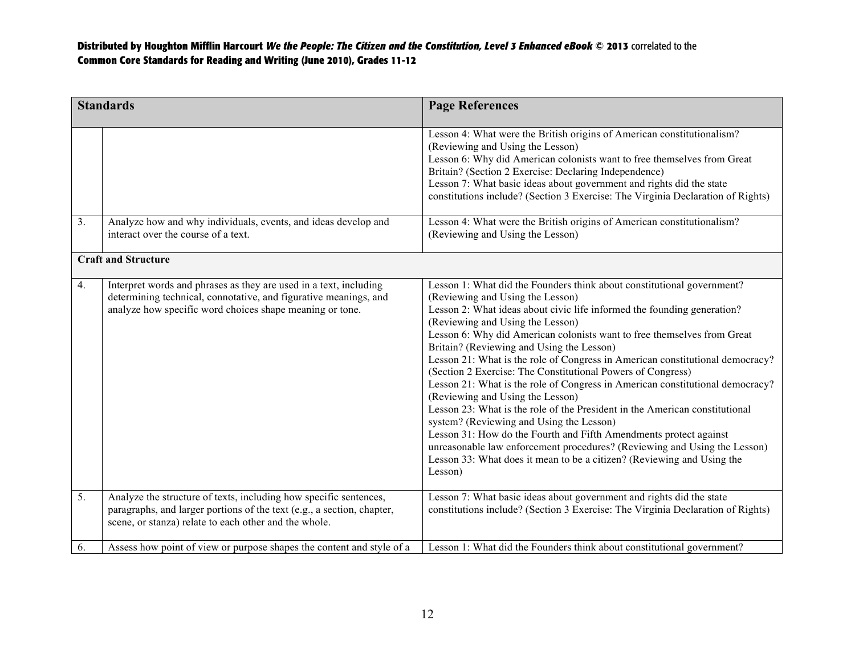|                  | <b>Standards</b>                                                                                                                                                                                     | <b>Page References</b>                                                                                                                                                                                                                                                                                                                                                                                                                                                                                                                                                                                                                                                                                                                                                                                                                                                                                                                                                                   |
|------------------|------------------------------------------------------------------------------------------------------------------------------------------------------------------------------------------------------|------------------------------------------------------------------------------------------------------------------------------------------------------------------------------------------------------------------------------------------------------------------------------------------------------------------------------------------------------------------------------------------------------------------------------------------------------------------------------------------------------------------------------------------------------------------------------------------------------------------------------------------------------------------------------------------------------------------------------------------------------------------------------------------------------------------------------------------------------------------------------------------------------------------------------------------------------------------------------------------|
|                  |                                                                                                                                                                                                      | Lesson 4: What were the British origins of American constitutionalism?<br>(Reviewing and Using the Lesson)<br>Lesson 6: Why did American colonists want to free themselves from Great<br>Britain? (Section 2 Exercise: Declaring Independence)<br>Lesson 7: What basic ideas about government and rights did the state<br>constitutions include? (Section 3 Exercise: The Virginia Declaration of Rights)                                                                                                                                                                                                                                                                                                                                                                                                                                                                                                                                                                                |
| $\overline{3}$ . | Analyze how and why individuals, events, and ideas develop and<br>interact over the course of a text.                                                                                                | Lesson 4: What were the British origins of American constitutionalism?<br>(Reviewing and Using the Lesson)                                                                                                                                                                                                                                                                                                                                                                                                                                                                                                                                                                                                                                                                                                                                                                                                                                                                               |
|                  | <b>Craft and Structure</b>                                                                                                                                                                           |                                                                                                                                                                                                                                                                                                                                                                                                                                                                                                                                                                                                                                                                                                                                                                                                                                                                                                                                                                                          |
| 4.               | Interpret words and phrases as they are used in a text, including<br>determining technical, connotative, and figurative meanings, and<br>analyze how specific word choices shape meaning or tone.    | Lesson 1: What did the Founders think about constitutional government?<br>(Reviewing and Using the Lesson)<br>Lesson 2: What ideas about civic life informed the founding generation?<br>(Reviewing and Using the Lesson)<br>Lesson 6: Why did American colonists want to free themselves from Great<br>Britain? (Reviewing and Using the Lesson)<br>Lesson 21: What is the role of Congress in American constitutional democracy?<br>(Section 2 Exercise: The Constitutional Powers of Congress)<br>Lesson 21: What is the role of Congress in American constitutional democracy?<br>(Reviewing and Using the Lesson)<br>Lesson 23: What is the role of the President in the American constitutional<br>system? (Reviewing and Using the Lesson)<br>Lesson 31: How do the Fourth and Fifth Amendments protect against<br>unreasonable law enforcement procedures? (Reviewing and Using the Lesson)<br>Lesson 33: What does it mean to be a citizen? (Reviewing and Using the<br>Lesson) |
| 5.               | Analyze the structure of texts, including how specific sentences,<br>paragraphs, and larger portions of the text (e.g., a section, chapter,<br>scene, or stanza) relate to each other and the whole. | Lesson 7: What basic ideas about government and rights did the state<br>constitutions include? (Section 3 Exercise: The Virginia Declaration of Rights)                                                                                                                                                                                                                                                                                                                                                                                                                                                                                                                                                                                                                                                                                                                                                                                                                                  |
| 6.               | Assess how point of view or purpose shapes the content and style of a                                                                                                                                | Lesson 1: What did the Founders think about constitutional government?                                                                                                                                                                                                                                                                                                                                                                                                                                                                                                                                                                                                                                                                                                                                                                                                                                                                                                                   |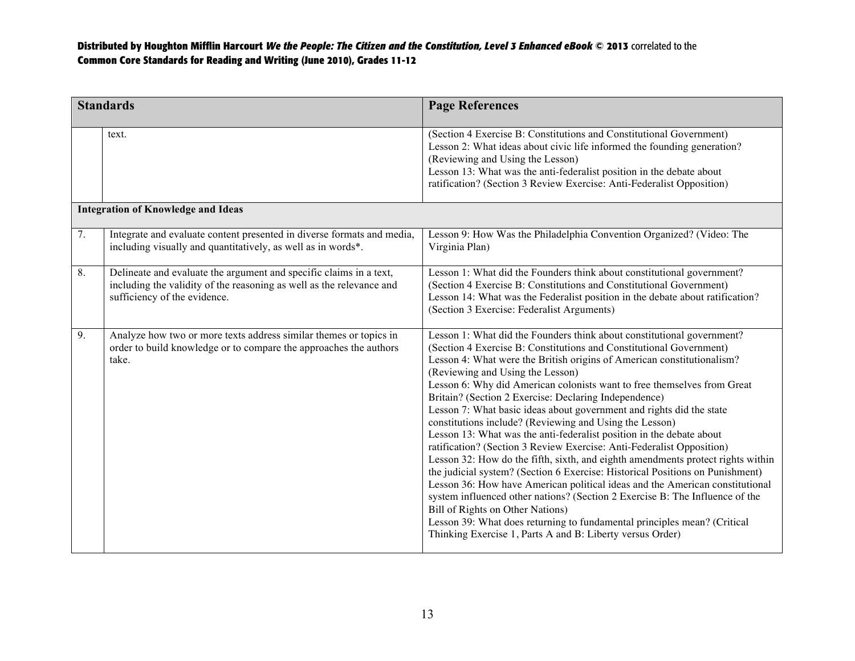| <b>Standards</b>                          |                                                                                                                                                                            | <b>Page References</b>                                                                                                                                                                                                                                                                                                                                                                                                                                                                                                                                                                                                                                                                                                                                                                                                                                                                                                                                                                                                                                                                                                                                                                               |
|-------------------------------------------|----------------------------------------------------------------------------------------------------------------------------------------------------------------------------|------------------------------------------------------------------------------------------------------------------------------------------------------------------------------------------------------------------------------------------------------------------------------------------------------------------------------------------------------------------------------------------------------------------------------------------------------------------------------------------------------------------------------------------------------------------------------------------------------------------------------------------------------------------------------------------------------------------------------------------------------------------------------------------------------------------------------------------------------------------------------------------------------------------------------------------------------------------------------------------------------------------------------------------------------------------------------------------------------------------------------------------------------------------------------------------------------|
|                                           | text.                                                                                                                                                                      | (Section 4 Exercise B: Constitutions and Constitutional Government)<br>Lesson 2: What ideas about civic life informed the founding generation?<br>(Reviewing and Using the Lesson)<br>Lesson 13: What was the anti-federalist position in the debate about<br>ratification? (Section 3 Review Exercise: Anti-Federalist Opposition)                                                                                                                                                                                                                                                                                                                                                                                                                                                                                                                                                                                                                                                                                                                                                                                                                                                                  |
| <b>Integration of Knowledge and Ideas</b> |                                                                                                                                                                            |                                                                                                                                                                                                                                                                                                                                                                                                                                                                                                                                                                                                                                                                                                                                                                                                                                                                                                                                                                                                                                                                                                                                                                                                      |
| 7.                                        | Integrate and evaluate content presented in diverse formats and media,<br>including visually and quantitatively, as well as in words*.                                     | Lesson 9: How Was the Philadelphia Convention Organized? (Video: The<br>Virginia Plan)                                                                                                                                                                                                                                                                                                                                                                                                                                                                                                                                                                                                                                                                                                                                                                                                                                                                                                                                                                                                                                                                                                               |
| 8.                                        | Delineate and evaluate the argument and specific claims in a text,<br>including the validity of the reasoning as well as the relevance and<br>sufficiency of the evidence. | Lesson 1: What did the Founders think about constitutional government?<br>(Section 4 Exercise B: Constitutions and Constitutional Government)<br>Lesson 14: What was the Federalist position in the debate about ratification?<br>(Section 3 Exercise: Federalist Arguments)                                                                                                                                                                                                                                                                                                                                                                                                                                                                                                                                                                                                                                                                                                                                                                                                                                                                                                                         |
| 9.                                        | Analyze how two or more texts address similar themes or topics in<br>order to build knowledge or to compare the approaches the authors<br>take.                            | Lesson 1: What did the Founders think about constitutional government?<br>(Section 4 Exercise B: Constitutions and Constitutional Government)<br>Lesson 4: What were the British origins of American constitutionalism?<br>(Reviewing and Using the Lesson)<br>Lesson 6: Why did American colonists want to free themselves from Great<br>Britain? (Section 2 Exercise: Declaring Independence)<br>Lesson 7: What basic ideas about government and rights did the state<br>constitutions include? (Reviewing and Using the Lesson)<br>Lesson 13: What was the anti-federalist position in the debate about<br>ratification? (Section 3 Review Exercise: Anti-Federalist Opposition)<br>Lesson 32: How do the fifth, sixth, and eighth amendments protect rights within<br>the judicial system? (Section 6 Exercise: Historical Positions on Punishment)<br>Lesson 36: How have American political ideas and the American constitutional<br>system influenced other nations? (Section 2 Exercise B: The Influence of the<br>Bill of Rights on Other Nations)<br>Lesson 39: What does returning to fundamental principles mean? (Critical<br>Thinking Exercise 1, Parts A and B: Liberty versus Order) |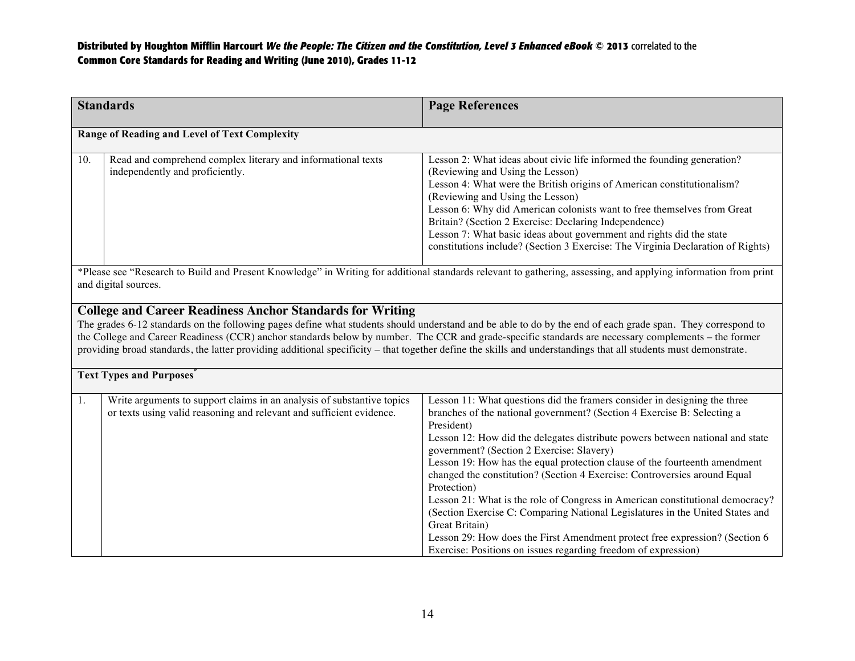| <b>Standards</b>                                                                                                                                                                                                                                                                                                                                                                                                                                                                                                                                           |                                                                                                                                                | <b>Page References</b>                                                                                                                                                                                                                                                                                                                                                                                                                                                                                                                                                                                                                                                                                                                                                                                          |  |  |
|------------------------------------------------------------------------------------------------------------------------------------------------------------------------------------------------------------------------------------------------------------------------------------------------------------------------------------------------------------------------------------------------------------------------------------------------------------------------------------------------------------------------------------------------------------|------------------------------------------------------------------------------------------------------------------------------------------------|-----------------------------------------------------------------------------------------------------------------------------------------------------------------------------------------------------------------------------------------------------------------------------------------------------------------------------------------------------------------------------------------------------------------------------------------------------------------------------------------------------------------------------------------------------------------------------------------------------------------------------------------------------------------------------------------------------------------------------------------------------------------------------------------------------------------|--|--|
| Range of Reading and Level of Text Complexity                                                                                                                                                                                                                                                                                                                                                                                                                                                                                                              |                                                                                                                                                |                                                                                                                                                                                                                                                                                                                                                                                                                                                                                                                                                                                                                                                                                                                                                                                                                 |  |  |
| 10.                                                                                                                                                                                                                                                                                                                                                                                                                                                                                                                                                        | Read and comprehend complex literary and informational texts<br>independently and proficiently.                                                | Lesson 2: What ideas about civic life informed the founding generation?<br>(Reviewing and Using the Lesson)<br>Lesson 4: What were the British origins of American constitutionalism?<br>(Reviewing and Using the Lesson)<br>Lesson 6: Why did American colonists want to free themselves from Great<br>Britain? (Section 2 Exercise: Declaring Independence)<br>Lesson 7: What basic ideas about government and rights did the state<br>constitutions include? (Section 3 Exercise: The Virginia Declaration of Rights)                                                                                                                                                                                                                                                                                        |  |  |
| *Please see "Research to Build and Present Knowledge" in Writing for additional standards relevant to gathering, assessing, and applying information from print<br>and digital sources.                                                                                                                                                                                                                                                                                                                                                                    |                                                                                                                                                |                                                                                                                                                                                                                                                                                                                                                                                                                                                                                                                                                                                                                                                                                                                                                                                                                 |  |  |
| <b>College and Career Readiness Anchor Standards for Writing</b><br>The grades 6-12 standards on the following pages define what students should understand and be able to do by the end of each grade span. They correspond to<br>the College and Career Readiness (CCR) anchor standards below by number. The CCR and grade-specific standards are necessary complements – the former<br>providing broad standards, the latter providing additional specificity – that together define the skills and understandings that all students must demonstrate. |                                                                                                                                                |                                                                                                                                                                                                                                                                                                                                                                                                                                                                                                                                                                                                                                                                                                                                                                                                                 |  |  |
|                                                                                                                                                                                                                                                                                                                                                                                                                                                                                                                                                            | <b>Text Types and Purposes</b>                                                                                                                 |                                                                                                                                                                                                                                                                                                                                                                                                                                                                                                                                                                                                                                                                                                                                                                                                                 |  |  |
| 1.                                                                                                                                                                                                                                                                                                                                                                                                                                                                                                                                                         | Write arguments to support claims in an analysis of substantive topics<br>or texts using valid reasoning and relevant and sufficient evidence. | Lesson 11: What questions did the framers consider in designing the three<br>branches of the national government? (Section 4 Exercise B: Selecting a<br>President)<br>Lesson 12: How did the delegates distribute powers between national and state<br>government? (Section 2 Exercise: Slavery)<br>Lesson 19: How has the equal protection clause of the fourteenth amendment<br>changed the constitution? (Section 4 Exercise: Controversies around Equal<br>Protection)<br>Lesson 21: What is the role of Congress in American constitutional democracy?<br>(Section Exercise C: Comparing National Legislatures in the United States and<br>Great Britain)<br>Lesson 29: How does the First Amendment protect free expression? (Section 6<br>Exercise: Positions on issues regarding freedom of expression) |  |  |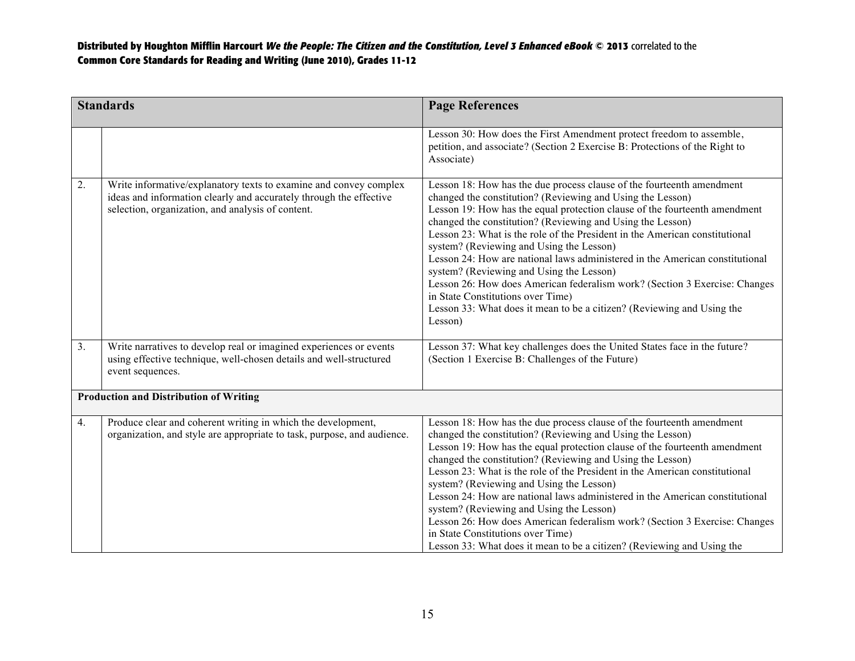| <b>Standards</b>                              |                                                                                                                                                                                              | <b>Page References</b>                                                                                                                                                                                                                                                                                                                                                                                                                                                                                                                                                                                                                                                                                                                         |
|-----------------------------------------------|----------------------------------------------------------------------------------------------------------------------------------------------------------------------------------------------|------------------------------------------------------------------------------------------------------------------------------------------------------------------------------------------------------------------------------------------------------------------------------------------------------------------------------------------------------------------------------------------------------------------------------------------------------------------------------------------------------------------------------------------------------------------------------------------------------------------------------------------------------------------------------------------------------------------------------------------------|
|                                               |                                                                                                                                                                                              | Lesson 30: How does the First Amendment protect freedom to assemble,<br>petition, and associate? (Section 2 Exercise B: Protections of the Right to<br>Associate)                                                                                                                                                                                                                                                                                                                                                                                                                                                                                                                                                                              |
| 2.                                            | Write informative/explanatory texts to examine and convey complex<br>ideas and information clearly and accurately through the effective<br>selection, organization, and analysis of content. | Lesson 18: How has the due process clause of the fourteenth amendment<br>changed the constitution? (Reviewing and Using the Lesson)<br>Lesson 19: How has the equal protection clause of the fourteenth amendment<br>changed the constitution? (Reviewing and Using the Lesson)<br>Lesson 23: What is the role of the President in the American constitutional<br>system? (Reviewing and Using the Lesson)<br>Lesson 24: How are national laws administered in the American constitutional<br>system? (Reviewing and Using the Lesson)<br>Lesson 26: How does American federalism work? (Section 3 Exercise: Changes<br>in State Constitutions over Time)<br>Lesson 33: What does it mean to be a citizen? (Reviewing and Using the<br>Lesson) |
| 3.                                            | Write narratives to develop real or imagined experiences or events<br>using effective technique, well-chosen details and well-structured<br>event sequences.                                 | Lesson 37: What key challenges does the United States face in the future?<br>(Section 1 Exercise B: Challenges of the Future)                                                                                                                                                                                                                                                                                                                                                                                                                                                                                                                                                                                                                  |
| <b>Production and Distribution of Writing</b> |                                                                                                                                                                                              |                                                                                                                                                                                                                                                                                                                                                                                                                                                                                                                                                                                                                                                                                                                                                |
| 4.                                            | Produce clear and coherent writing in which the development,<br>organization, and style are appropriate to task, purpose, and audience.                                                      | Lesson 18: How has the due process clause of the fourteenth amendment<br>changed the constitution? (Reviewing and Using the Lesson)<br>Lesson 19: How has the equal protection clause of the fourteenth amendment<br>changed the constitution? (Reviewing and Using the Lesson)<br>Lesson 23: What is the role of the President in the American constitutional<br>system? (Reviewing and Using the Lesson)<br>Lesson 24: How are national laws administered in the American constitutional<br>system? (Reviewing and Using the Lesson)<br>Lesson 26: How does American federalism work? (Section 3 Exercise: Changes<br>in State Constitutions over Time)<br>Lesson 33: What does it mean to be a citizen? (Reviewing and Using the            |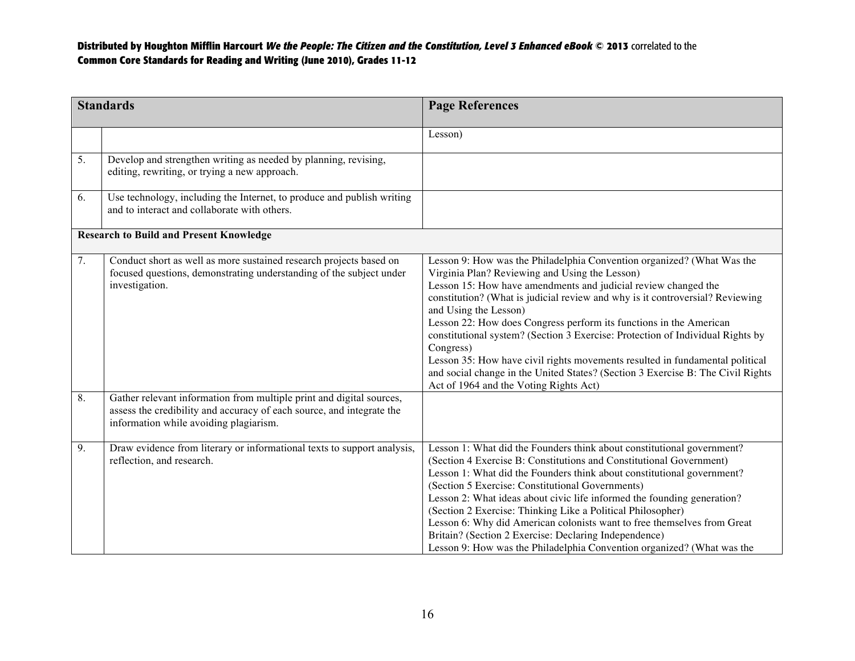| <b>Standards</b>                               |                                                                                                                                                                                         | <b>Page References</b>                                                                                                                                                                                                                                                                                                                                                                                                                                                                                                                                                                                                                                                                 |
|------------------------------------------------|-----------------------------------------------------------------------------------------------------------------------------------------------------------------------------------------|----------------------------------------------------------------------------------------------------------------------------------------------------------------------------------------------------------------------------------------------------------------------------------------------------------------------------------------------------------------------------------------------------------------------------------------------------------------------------------------------------------------------------------------------------------------------------------------------------------------------------------------------------------------------------------------|
|                                                |                                                                                                                                                                                         | Lesson)                                                                                                                                                                                                                                                                                                                                                                                                                                                                                                                                                                                                                                                                                |
| 5.                                             | Develop and strengthen writing as needed by planning, revising,<br>editing, rewriting, or trying a new approach.                                                                        |                                                                                                                                                                                                                                                                                                                                                                                                                                                                                                                                                                                                                                                                                        |
| 6.                                             | Use technology, including the Internet, to produce and publish writing<br>and to interact and collaborate with others.                                                                  |                                                                                                                                                                                                                                                                                                                                                                                                                                                                                                                                                                                                                                                                                        |
| <b>Research to Build and Present Knowledge</b> |                                                                                                                                                                                         |                                                                                                                                                                                                                                                                                                                                                                                                                                                                                                                                                                                                                                                                                        |
| 7.                                             | Conduct short as well as more sustained research projects based on<br>focused questions, demonstrating understanding of the subject under<br>investigation.                             | Lesson 9: How was the Philadelphia Convention organized? (What Was the<br>Virginia Plan? Reviewing and Using the Lesson)<br>Lesson 15: How have amendments and judicial review changed the<br>constitution? (What is judicial review and why is it controversial? Reviewing<br>and Using the Lesson)<br>Lesson 22: How does Congress perform its functions in the American<br>constitutional system? (Section 3 Exercise: Protection of Individual Rights by<br>Congress)<br>Lesson 35: How have civil rights movements resulted in fundamental political<br>and social change in the United States? (Section 3 Exercise B: The Civil Rights<br>Act of 1964 and the Voting Rights Act) |
| 8.                                             | Gather relevant information from multiple print and digital sources,<br>assess the credibility and accuracy of each source, and integrate the<br>information while avoiding plagiarism. |                                                                                                                                                                                                                                                                                                                                                                                                                                                                                                                                                                                                                                                                                        |
| 9.                                             | Draw evidence from literary or informational texts to support analysis,<br>reflection, and research.                                                                                    | Lesson 1: What did the Founders think about constitutional government?<br>(Section 4 Exercise B: Constitutions and Constitutional Government)<br>Lesson 1: What did the Founders think about constitutional government?<br>(Section 5 Exercise: Constitutional Governments)<br>Lesson 2: What ideas about civic life informed the founding generation?<br>(Section 2 Exercise: Thinking Like a Political Philosopher)<br>Lesson 6: Why did American colonists want to free themselves from Great<br>Britain? (Section 2 Exercise: Declaring Independence)<br>Lesson 9: How was the Philadelphia Convention organized? (What was the                                                    |